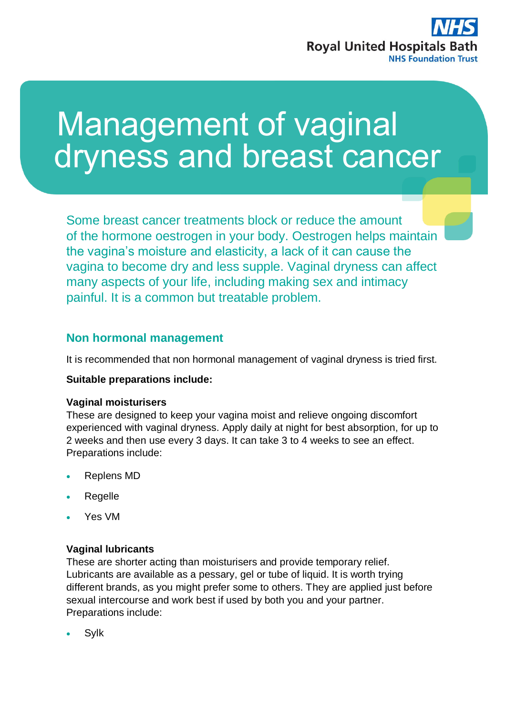

# Management of vaginal dryness and breast cancer

Some breast cancer treatments block or reduce the amount of the hormone oestrogen in your body. Oestrogen helps maintain the vagina's moisture and elasticity, a lack of it can cause the vagina to become dry and less supple. Vaginal dryness can affect many aspects of your life, including making sex and intimacy painful. It is a common but treatable problem.

# **Non hormonal management**

It is recommended that non hormonal management of vaginal dryness is tried first.

## **Suitable preparations include:**

## **Vaginal moisturisers**

These are designed to keep your vagina moist and relieve ongoing discomfort experienced with vaginal dryness. Apply daily at night for best absorption, for up to 2 weeks and then use every 3 days. It can take 3 to 4 weeks to see an effect. Preparations include:

- Replens MD
- Regelle
- Yes VM

## **Vaginal lubricants**

These are shorter acting than moisturisers and provide temporary relief. Lubricants are available as a pessary, gel or tube of liquid. It is worth trying different brands, as you might prefer some to others. They are applied just before sexual intercourse and work best if used by both you and your partner. Preparations include:

Sylk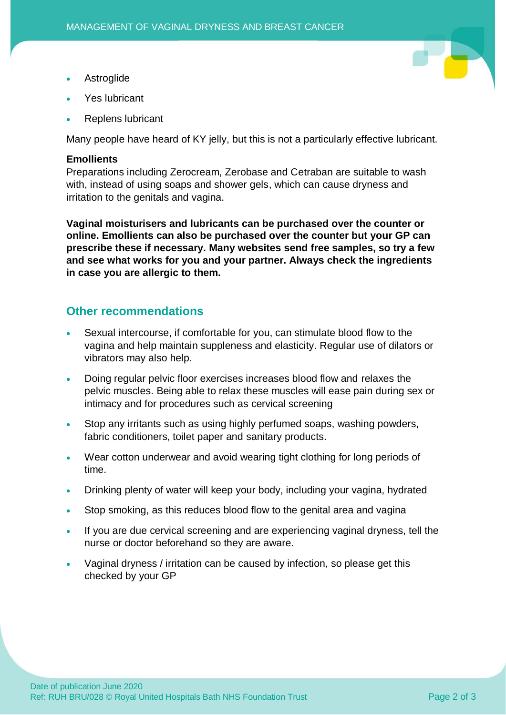- Astroglide
- Yes lubricant
- Replens lubricant

Many people have heard of KY jelly, but this is not a particularly effective lubricant.

## **Emollients**

Preparations including Zerocream, Zerobase and Cetraban are suitable to wash with, instead of using soaps and shower gels, which can cause dryness and irritation to the genitals and vagina.

**Vaginal moisturisers and lubricants can be purchased over the counter or online. Emollients can also be purchased over the counter but your GP can prescribe these if necessary. Many websites send free samples, so try a few and see what works for you and your partner. Always check the ingredients in case you are allergic to them.**

# **Other recommendations**

- Sexual intercourse, if comfortable for you, can stimulate blood flow to the vagina and help maintain suppleness and elasticity. Regular use of dilators or vibrators may also help.
- Doing regular pelvic floor exercises increases blood flow and relaxes the pelvic muscles. Being able to relax these muscles will ease pain during sex or intimacy and for procedures such as cervical screening
- Stop any irritants such as using highly perfumed soaps, washing powders, fabric conditioners, toilet paper and sanitary products.
- Wear cotton underwear and avoid wearing tight clothing for long periods of time.
- Drinking plenty of water will keep your body, including your vagina, hydrated
- Stop smoking, as this reduces blood flow to the genital area and vagina
- If you are due cervical screening and are experiencing vaginal dryness, tell the nurse or doctor beforehand so they are aware.
- Vaginal dryness / irritation can be caused by infection, so please get this checked by your GP

Ŧ